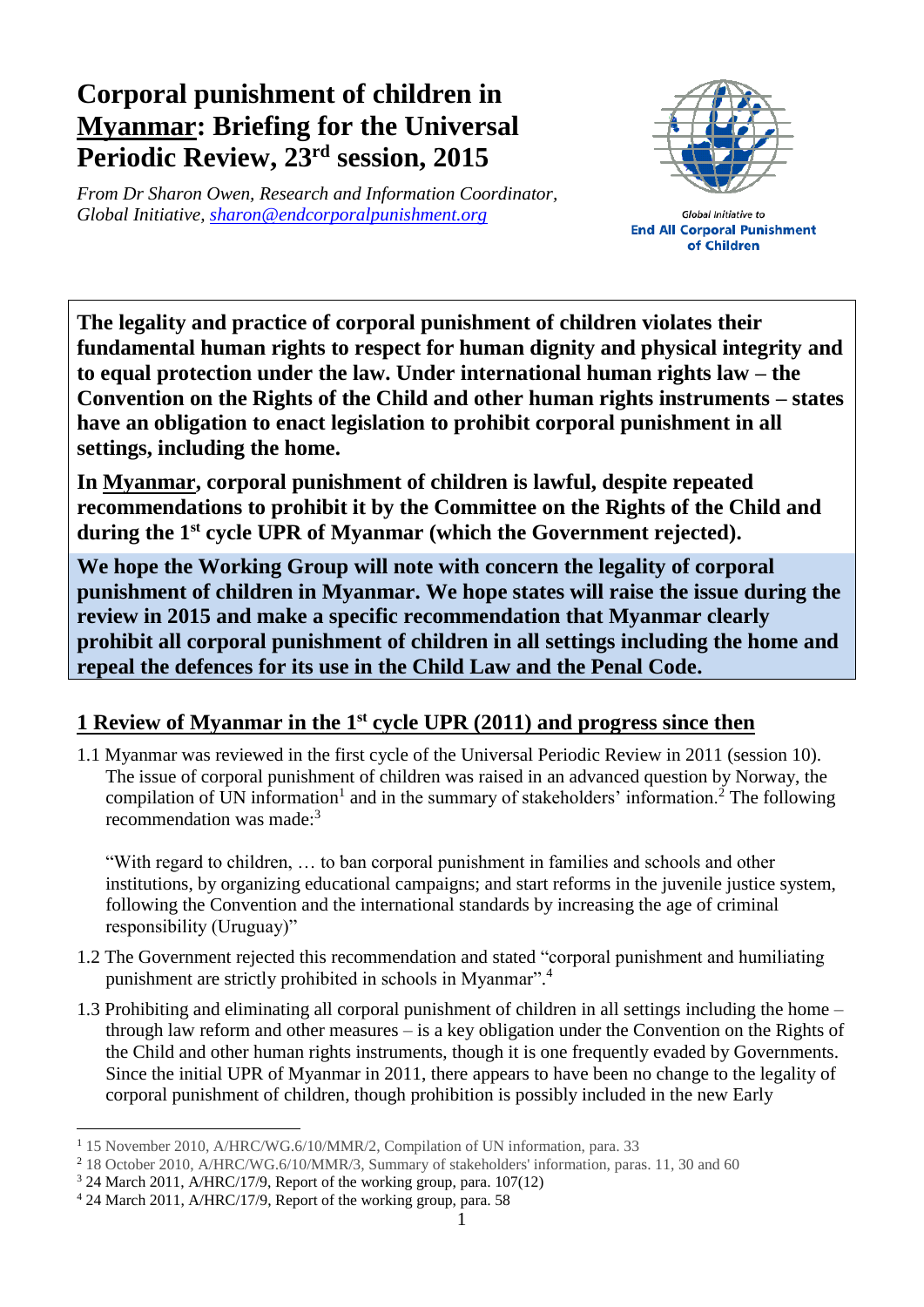## **Corporal punishment of children in Myanmar: Briefing for the Universal Periodic Review, 23 rd session, 2015**

*From Dr Sharon Owen, Research and Information Coordinator, Global Initiative, [sharon@endcorporalpunishment.org](mailto:sharon@endcorporalpunishment.org)*



Global Initiative to **End All Corporal Punishment** of Children

**The legality and practice of corporal punishment of children violates their fundamental human rights to respect for human dignity and physical integrity and to equal protection under the law. Under international human rights law – the Convention on the Rights of the Child and other human rights instruments – states have an obligation to enact legislation to prohibit corporal punishment in all settings, including the home.**

**In Myanmar, corporal punishment of children is lawful, despite repeated recommendations to prohibit it by the Committee on the Rights of the Child and during the 1st cycle UPR of Myanmar (which the Government rejected).**

**We hope the Working Group will note with concern the legality of corporal punishment of children in Myanmar. We hope states will raise the issue during the review in 2015 and make a specific recommendation that Myanmar clearly prohibit all corporal punishment of children in all settings including the home and repeal the defences for its use in the Child Law and the Penal Code.**

## **1 Review of Myanmar in the 1st cycle UPR (2011) and progress since then**

1.1 Myanmar was reviewed in the first cycle of the Universal Periodic Review in 2011 (session 10). The issue of corporal punishment of children was raised in an advanced question by Norway, the compilation of UN information<sup>1</sup> and in the summary of stakeholders' information.<sup>2</sup> The following recommendation was made:<sup>3</sup>

"With regard to children, … to ban corporal punishment in families and schools and other institutions, by organizing educational campaigns; and start reforms in the juvenile justice system, following the Convention and the international standards by increasing the age of criminal responsibility (Uruguay)"

- 1.2 The Government rejected this recommendation and stated "corporal punishment and humiliating punishment are strictly prohibited in schools in Myanmar".<sup>4</sup>
- 1.3 Prohibiting and eliminating all corporal punishment of children in all settings including the home through law reform and other measures – is a key obligation under the Convention on the Rights of the Child and other human rights instruments, though it is one frequently evaded by Governments. Since the initial UPR of Myanmar in 2011, there appears to have been no change to the legality of corporal punishment of children, though prohibition is possibly included in the new Early

 $\overline{a}$ 

<sup>1</sup> 15 November 2010, A/HRC/WG.6/10/MMR/2, Compilation of UN information, para. 33

<sup>2</sup> 18 October 2010, A/HRC/WG.6/10/MMR/3, Summary of stakeholders' information, paras. 11, 30 and 60

<sup>3</sup> 24 March 2011, A/HRC/17/9, Report of the working group, para. 107(12)

<sup>4</sup> 24 March 2011, A/HRC/17/9, Report of the working group, para. 58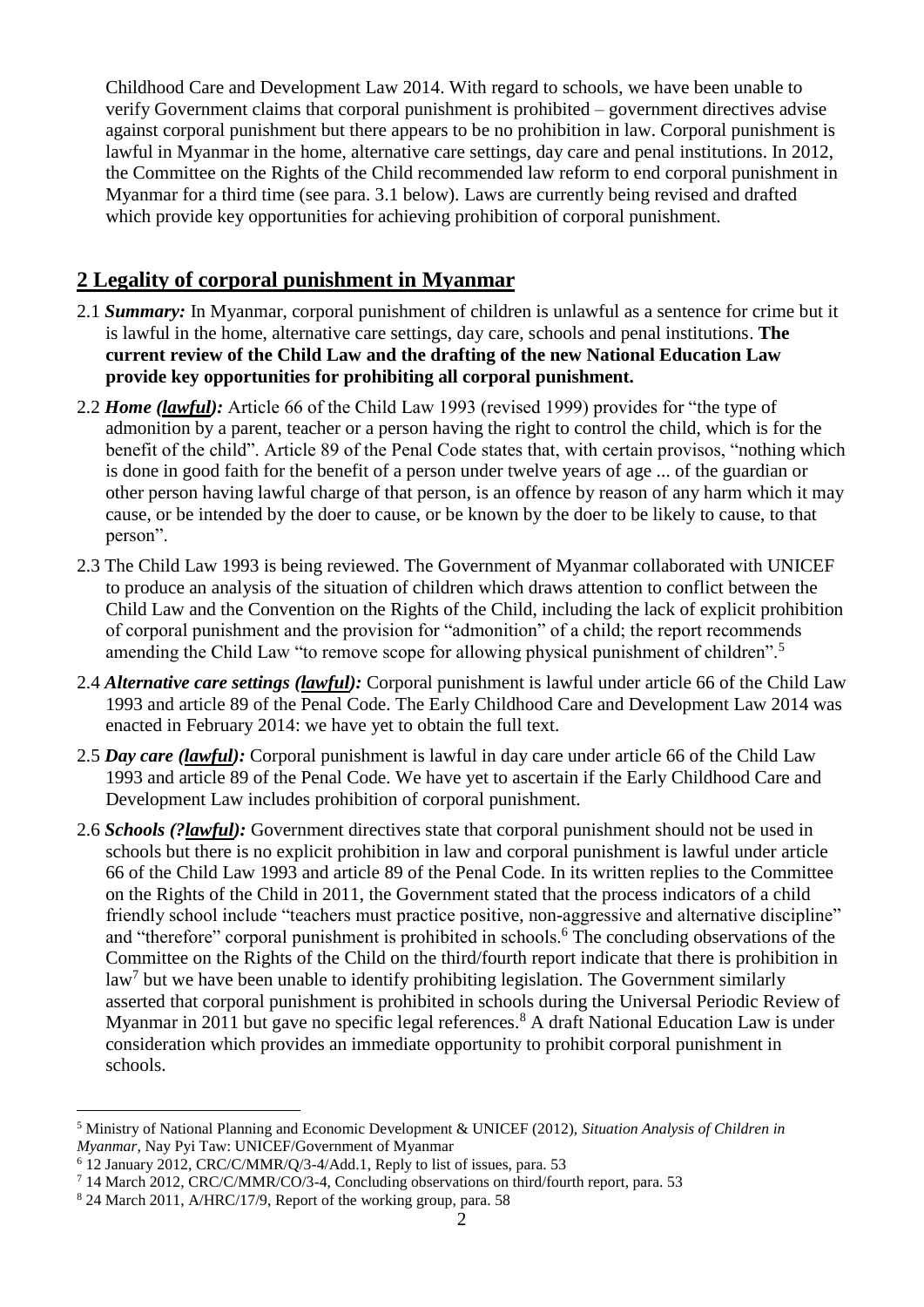Childhood Care and Development Law 2014. With regard to schools, we have been unable to verify Government claims that corporal punishment is prohibited – government directives advise against corporal punishment but there appears to be no prohibition in law. Corporal punishment is lawful in Myanmar in the home, alternative care settings, day care and penal institutions. In 2012, the Committee on the Rights of the Child recommended law reform to end corporal punishment in Myanmar for a third time (see para. 3.1 below). Laws are currently being revised and drafted which provide key opportunities for achieving prohibition of corporal punishment.

## **2 Legality of corporal punishment in Myanmar**

- 2.1 *Summary:* In Myanmar, corporal punishment of children is unlawful as a sentence for crime but it is lawful in the home, alternative care settings, day care, schools and penal institutions. **The current review of the Child Law and the drafting of the new National Education Law provide key opportunities for prohibiting all corporal punishment.**
- 2.2 *Home (lawful):* Article 66 of the Child Law 1993 (revised 1999) provides for "the type of admonition by a parent, teacher or a person having the right to control the child, which is for the benefit of the child". Article 89 of the Penal Code states that, with certain provisos, "nothing which is done in good faith for the benefit of a person under twelve years of age ... of the guardian or other person having lawful charge of that person, is an offence by reason of any harm which it may cause, or be intended by the doer to cause, or be known by the doer to be likely to cause, to that person".
- 2.3 The Child Law 1993 is being reviewed. The Government of Myanmar collaborated with UNICEF to produce an analysis of the situation of children which draws attention to conflict between the Child Law and the Convention on the Rights of the Child, including the lack of explicit prohibition of corporal punishment and the provision for "admonition" of a child; the report recommends amending the Child Law "to remove scope for allowing physical punishment of children".<sup>5</sup>
- 2.4 *Alternative care settings (lawful):* Corporal punishment is lawful under article 66 of the Child Law 1993 and article 89 of the Penal Code. The Early Childhood Care and Development Law 2014 was enacted in February 2014: we have yet to obtain the full text.
- 2.5 *Day care (lawful):* Corporal punishment is lawful in day care under article 66 of the Child Law 1993 and article 89 of the Penal Code. We have yet to ascertain if the Early Childhood Care and Development Law includes prohibition of corporal punishment.
- 2.6 *Schools (?lawful):* Government directives state that corporal punishment should not be used in schools but there is no explicit prohibition in law and corporal punishment is lawful under article 66 of the Child Law 1993 and article 89 of the Penal Code. In its written replies to the Committee on the Rights of the Child in 2011, the Government stated that the process indicators of a child friendly school include "teachers must practice positive, non-aggressive and alternative discipline" and "therefore" corporal punishment is prohibited in schools.<sup>6</sup> The concluding observations of the Committee on the Rights of the Child on the third/fourth report indicate that there is prohibition in law<sup>7</sup> but we have been unable to identify prohibiting legislation. The Government similarly asserted that corporal punishment is prohibited in schools during the Universal Periodic Review of Myanmar in 2011 but gave no specific legal references. <sup>8</sup> A draft National Education Law is under consideration which provides an immediate opportunity to prohibit corporal punishment in schools.

 $\overline{a}$ 

<sup>5</sup> Ministry of National Planning and Economic Development & UNICEF (2012), *Situation Analysis of Children in Myanmar*, Nay Pyi Taw: UNICEF/Government of Myanmar

<sup>6</sup> 12 January 2012, CRC/C/MMR/Q/3-4/Add.1, Reply to list of issues, para. 53

<sup>7</sup> 14 March 2012, CRC/C/MMR/CO/3-4, Concluding observations on third/fourth report, para. 53

<sup>8</sup> 24 March 2011, A/HRC/17/9, Report of the working group, para. 58